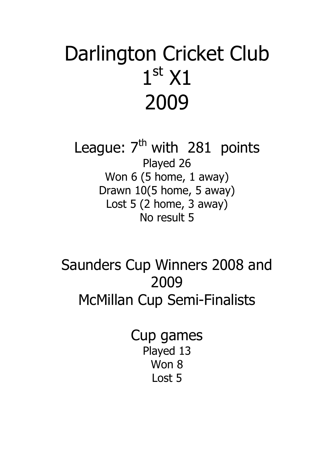# Darlington Cricket Club 1st X1 2009

League:  $7<sup>th</sup>$  with 281 points Played 26 Won 6 (5 home, 1 away) Drawn 10(5 home, 5 away) Lost 5 (2 home, 3 away) No result 5

Saunders Cup Winners 2008 and 2009 McMillan Cup Semi-Finalists

> Cup games Played 13 Won 8 Lost 5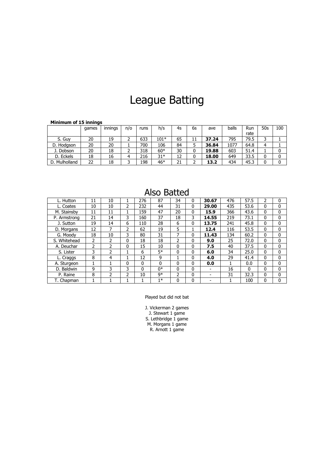# League Batting

| <b>MINIMUM OF 15 INNINGS</b> |       |         |     |      |        |    |    |       |       |      |     |     |
|------------------------------|-------|---------|-----|------|--------|----|----|-------|-------|------|-----|-----|
|                              | games | innings | n/o | runs | h/s    | 4s | 6s | ave   | balls | Run  | 50s | 100 |
|                              |       |         |     |      |        |    |    |       |       | rate |     |     |
| S. Guy                       | 20    | 19      |     | 633  | $101*$ | 65 | 11 | 37.24 | 795   | 79.5 |     |     |
| D. Hodgson                   | 20    | 20      |     | 700  | 106    | 84 |    | 36.84 | 1077  | 64.8 | 4   |     |
| J. Dobson                    | 20    | 18      |     | 318  | $60*$  | 30 | 0  | 19.88 | 603   | 51.4 |     |     |
| D. Eckels                    | 18    | 16      | 4   | 216  | $31*$  | 12 | 0  | 18.00 | 649   | 33.5 | 0   | 0   |
| D. Mulholland                | 22    | 18      |     | 198  | 46*    | 21 |    | 13.2  | 434   | 45.3 | 0   |     |

### **Minimum of 15 innings**

### Also Batted

| L. Hutton    | 11 | 10            |               | 276 | 87   | 34 | 0 | 30.67 | 476 | 57.5     | 2            | 0 |
|--------------|----|---------------|---------------|-----|------|----|---|-------|-----|----------|--------------|---|
| L. Coates    | 10 | 10            | $\mathcal{P}$ | 232 | 44   | 31 | 0 | 29.00 | 435 | 53.6     | $\Omega$     | 0 |
| M. Stainsby  | 11 | 11            |               | 159 | 47   | 20 | 0 | 15.9  | 366 | 43.6     | 0            | 0 |
| P. Armstrong | 21 | 14            | 3             | 160 | 37   | 18 | 3 | 14.55 | 219 | 73.1     | $\Omega$     | 0 |
| J. Sutton    | 19 | 14            | 6             | 110 | 28   | 6  | 0 | 13.75 | 241 | 45.8     | 0            | 0 |
| D. Morgans   | 12 |               | $\mathcal{P}$ | 62  | 19   | 5  |   | 12.4  | 116 | 53.5     | $\Omega$     | 0 |
| G. Moodv     | 18 | 10            | 3             | 80  | 31   | 7  | 0 | 11.43 | 134 | 60.2     | $\mathbf{0}$ | 0 |
| S. Whitehead | 2  | 2             | 0             | 18  | 18   | フ  | 0 | 9.0   | 25  | 72.0     | $\Omega$     | 0 |
| A. Deuchar   | 2  | フ             | 0             | 15  | 10   | 0  | 0 | 7.5   | 40  | 37.5     | $\Omega$     | 0 |
| S. Lister    | 3  | $\mathcal{P}$ |               | 6   | $5*$ | 0  | 0 | 6.0   | 34  | 25.0     | $\Omega$     | 0 |
| L. Craggs    | 8  | 4             |               | 12  | 9    |    | 0 | 4.0   | 29  | 41.4     | $\Omega$     | 0 |
| A. Sturgeon  | 1  |               | 0             | 0   | 0    | 0  | 0 | 0.0   |     | 0.0      | $\mathbf{0}$ | 0 |
| D. Baldwin   | 9  | 3             | 3             | 0   | n*   | 0  | 0 |       | 16  | $\Omega$ | $\Omega$     | 0 |
| P. Raine     | 8  | 2             | $\mathcal{P}$ | 10  | q*   | 2  | 0 |       | 31  | 32.3     | 0            | 0 |
| T. Chapman   |    |               |               |     | $1*$ | 0  | 0 |       |     | 100      | 0            | 0 |

#### Played but did not bat

J. Vickerman 2 games J. Stewart 1 game S. Lethbridge 1 game M. Morgans 1 game R. Arnott 1 game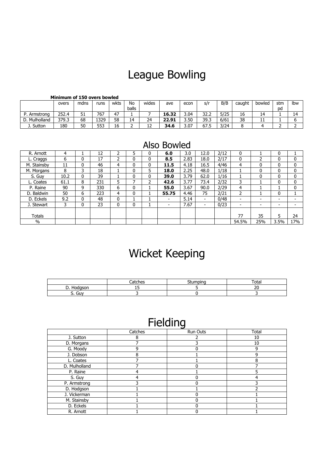# League Bowling

#### **Minimum of 150 overs bowled**

|                | overs | mdns | runs | wkts | No    | wides    | ave   | econ | s/r             | B/B  | caught | bowled                | stm | Ibw |
|----------------|-------|------|------|------|-------|----------|-------|------|-----------------|------|--------|-----------------------|-----|-----|
|                |       |      |      |      | balls |          |       |      |                 |      |        |                       | bd  |     |
| D<br>Armstrona | 252.4 | 51   | 767  | 47   |       |          | 16.32 | 3.04 | っっ<br>∽<br>ے۔ےر | 5/25 | 16     | $\overline{4}$<br>. . |     | 14  |
| Mulholland     | 379.3 | 68   | 1329 | 58   | 14    | 24       | 22.91 | 3.50 | 39.3            | 6/61 | 38     | ᆠ                     |     |     |
| Sutton         | 180   | 50   | 553  | 16   |       | . .<br>ᅭ | 34.6  | 3.07 | 67.5            | 3/24 |        |                       |     |     |

### Also Bowled

| R. Arnott     | 4    |   | 12  |   |   | 0 | 6.0                      | 3.0  | 12.0                     | 2/12 | 0                        |                          | 0                        |                          |
|---------------|------|---|-----|---|---|---|--------------------------|------|--------------------------|------|--------------------------|--------------------------|--------------------------|--------------------------|
| L. Craggs     | 6    | 0 | 17  |   | 0 | 0 | 8.5                      | 2.83 | 18.0                     | 2/17 | 0                        | h                        |                          | 0                        |
| M. Stainsby   | 11   | 0 | 46  | 4 | 0 | 0 | 11.5                     | 4.18 | 16.5                     | 4/46 | 4                        | 0                        | 0                        | 0                        |
| M. Morgans    | 8    | 3 | 18  |   | 0 | 5 | 18.0                     | 2.25 | 48.0                     | 1/18 |                          | 0                        | 0                        | 0                        |
| S. Guy        | 10.2 | 0 | 39  |   | 0 | 0 | 39.0                     | 3.79 | 62.0                     | 1/16 |                          | 0                        | 0                        | 0                        |
| L. Coates     | 61.1 | 8 | 231 | 5 | ⇁ | 2 | 42.6                     | 3.77 | 73.4                     | 2/32 | 3                        |                          | 0                        | 0                        |
| P. Raine      | 90   | 9 | 330 | 6 | 0 |   | 55.0                     | 3.67 | 90.0                     | 2/29 | 4                        |                          |                          | 0                        |
| D. Baldwin    | 50   | 6 | 223 | 4 | 0 |   | 55.75                    | 4.46 | 75                       | 2/21 | 2                        |                          | 0                        |                          |
| D. Eckels     | 9.2  | 0 | 48  |   |   |   | $\overline{\phantom{a}}$ | 5.14 | $\overline{\phantom{0}}$ | 0/48 |                          | $\overline{\phantom{0}}$ | $\overline{\phantom{a}}$ |                          |
| J. Stewart    |      | 0 | 23  |   | 0 |   | ۰                        | 7.67 | $\overline{\phantom{0}}$ | 0/23 | $\overline{\phantom{0}}$ | -                        | $\overline{\phantom{0}}$ | $\overline{\phantom{a}}$ |
|               |      |   |     |   |   |   |                          |      |                          |      |                          |                          |                          |                          |
| <b>Totals</b> |      |   |     |   |   |   |                          |      |                          |      | 77                       | 35                       | 5                        | 24                       |
| $\%$          |      |   |     |   |   |   |                          |      |                          |      | 54.5%                    | 25%                      | 3.5%                     | 17%                      |

# Wicket Keeping

|                     | `atches | -<br><br>״ | otal |
|---------------------|---------|------------|------|
| son<br>_<br>້.      | --      |            | - -  |
| ∽<br>'nв<br>υu<br>ັ |         |            |      |

## Fielding

|               | Catches | <b>Run Outs</b> | Total |
|---------------|---------|-----------------|-------|
| J. Sutton     | 8       |                 | 10    |
| D. Morgans    |         |                 | 10    |
| G. Moody      | 9       |                 |       |
| J. Dobson     | 8       |                 |       |
| L. Coates     |         |                 | ິ     |
| D. Mulholland |         |                 |       |
| P. Raine      |         |                 |       |
| S. Guy        |         |                 |       |
| P. Armstrong  |         |                 |       |
| D. Hodgson    |         |                 |       |
| J. Vickerman  |         |                 |       |
| M. Stainsby   |         |                 |       |
| D. Eckels     |         |                 |       |
| R. Arnott     |         |                 |       |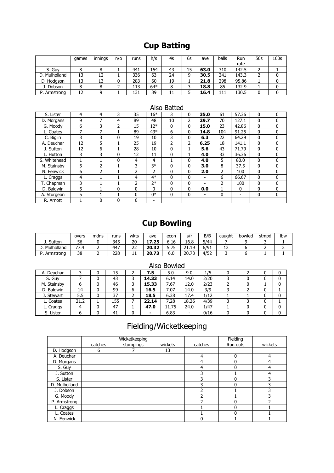### **Cup Batting**

|               | games | . .<br>innings | n/o | runs | h/s   | 4s | 6s | ave  | balls | Run   | 50s | 100 <sub>S</sub> |
|---------------|-------|----------------|-----|------|-------|----|----|------|-------|-------|-----|------------------|
|               |       |                |     |      |       |    |    |      |       | rate  |     |                  |
| S. Guv        |       |                |     | 441  | 154   | 43 | 15 | 63.0 | 310   | 142.5 | ∼   |                  |
| D. Mulholland | 13    | 12             |     | 336  | 63    | 24 | 9  | 30.5 | 241   | 143.3 | ∼   |                  |
| D. Hodgson    | 13    | 13             | 0   | 283  | 60    | 19 |    | 21.8 | 298   | 95.86 |     |                  |
| J. Dobson     |       |                |     | 113  | $64*$ | 8  |    | 18.8 | 85    | 132.9 |     |                  |
| P. Armstrong  | 12    |                |     | 131  | 39    | 11 |    | 16.4 | 111   | 130.5 |     |                  |

### Also Batted

| S. Lister    | 4  | 4 | 3            | 35             | $16*$         | 3  | 0            | 35.0 | 61  | 57.36    | 0            | 0            |
|--------------|----|---|--------------|----------------|---------------|----|--------------|------|-----|----------|--------------|--------------|
| D. Morgans   | 9  | 7 | 4            | 89             | 48            | 10 | 2            | 29.7 | 70  | 127.1    | $\mathbf{0}$ | 0            |
| G. Moodv     | 6  | 3 | 2            | 15             | $12*$         | 0  | $\mathbf{0}$ | 15.0 | 23  | 42.86    | $\mathbf{0}$ | $\mathbf{0}$ |
| L. Coates    | 7  | 7 |              | 89             | $43*$         | 6  | 0            | 14.8 | 104 | 91.25    | $\mathbf{0}$ | $\mathbf{0}$ |
| C. Biglin    | 3  | 3 | 0            | 19             | 10            | 3  | 0            | 6.3  | 22  | 64.29    | $\mathbf{0}$ | 0            |
| A. Deuchar   | 12 | 5 |              | 25             | 19            | 2  | 2            | 6.25 | 18  | 141.1    | $\mathbf{0}$ | $\mathbf{0}$ |
| J. Sutton    | 12 | 6 |              | 28             | 10            | 0  |              | 5.6  | 43  | 71.79    | $\mathbf{0}$ | $\mathbf{0}$ |
| L. Hutton    | 3  | 3 | 0            | 12             | 11            | 0  |              | 4.0  | 33  | 36.36    | $\mathbf{0}$ | 0            |
| S. Whitehead |    |   | $\mathbf{0}$ | 4              | 4             |    | $\mathbf{0}$ | 4.0  | 5   | 80.0     | $\mathbf{0}$ | $\mathbf{0}$ |
| M. Stainsby  | 5  | ว |              | 3              | $3*$          | 0  | $\mathbf{0}$ | 3.0  | 8   | 37.5     | $\mathbf{0}$ | $\mathbf{0}$ |
| N. Fenwick   | 6  | 2 |              | $\overline{2}$ | $\mathcal{P}$ | 0  | 0            | 2.0  | 2   | 100      | $\mathbf{0}$ | 0            |
| L. Craggs    | 4  |   |              | 4              | $4*$          | 0  | $\mathbf{0}$ | -    | 6   | 66.67    | $\mathbf{0}$ | $\mathbf{0}$ |
| T. Chapman   | 3  |   |              | 2              | $7*$          | 0  | $\mathbf{0}$ | -    | 2   | 100      | $\mathbf{0}$ | $\mathbf{0}$ |
| D. Baldwin   | 5  |   | $\mathbf{0}$ | 0              | $\Omega$      | 0  | $\mathbf{0}$ | 0.0  |     | $\Omega$ | 0            | $\mathbf{0}$ |
| A. Sturgeon  | 5  |   |              | $\Omega$       | $0*$          | 0  | 0            | -    | 0   |          | 0            | 0            |
| R. Arnott    |    | 0 | 0            | 0              |               |    |              |      |     |          |              |              |

### **Cup Bowling**

|            | overs    | mdns | runs | wkts        | ave   | econ       | s/                 | B/B  | caught | bowled | stmpd | Ibw |
|------------|----------|------|------|-------------|-------|------------|--------------------|------|--------|--------|-------|-----|
| J. Sutton  | --<br>56 |      | 345  | 20          | 17.25 | 6.16       | 16.8               | 5/44 |        |        |       |     |
| Mulholland | 77<br>.  | -    | 447  | $\sim$<br>ے | 20.32 | <b>J.I</b> | 10<br>ا سال اللہ ک | 6/91 | --     |        |       |     |
| Armstrong  | 38       | -    | 228  | . .         | 20.73 | r n<br>o.u | 20.73              | 4/52 |        |        |       |     |

|             |      |   |     |   |       | הטוויט טכורו |       |      |  |   |   |
|-------------|------|---|-----|---|-------|--------------|-------|------|--|---|---|
| A. Deuchar  |      |   | 15  |   | 7.5   | 5.0          | 9.0   | 1/5  |  | 0 | 0 |
| S. Guy      |      | 0 | 43  |   | 14.33 | 6.14         | 14.0  | 2/20 |  | 0 | 0 |
| M. Stainsby |      | 0 | 46  | ٠ | 15.33 | 7.67         | 12.0  | 2/23 |  |   | 0 |
| D. Baldwin  | 14   |   | 99  | ь | 16.5  | 7.07         | 14.0  | 3/9  |  | 0 |   |
| J. Stewart  | 5.5  | 0 | 37  |   | 18.5  | 6.38         | 17.4  | 1/12 |  | 0 | 0 |
| L. Coates   | 21.2 |   | 155 |   | 22.14 | 7.28         | 18.26 | 4/39 |  | 0 |   |
| L. Craggs   |      | 0 | 47  |   | 47.0  | 11.75        | 24.0  | 1/47 |  | 0 | 0 |
| S. Lister   |      | 0 | 41  | 0 | -     | 6.83         | -     | 0/16 |  | 0 | 0 |

### Also Bowled

### Fielding/Wicketkeeping

|               |         | Wicketkeeping |         |         | Fielding |         |
|---------------|---------|---------------|---------|---------|----------|---------|
|               | catches | stumpings     | wickets | catches | Run outs | wickets |
| D. Hodgson    | 6       |               | 13      |         |          |         |
| A. Deuchar    |         |               |         | 4       | $\Omega$ | 4       |
| D. Morgans    |         |               |         | 4       |          |         |
| S. Guy        |         |               |         | 4       |          |         |
| J. Sutton     |         |               |         |         |          | 4       |
| S. Lister     |         |               |         |         |          |         |
| D. Mulholland |         |               |         |         |          |         |
| J. Dobson     |         |               |         |         |          |         |
| G. Moody      |         |               |         |         |          |         |
| P. Armstrong  |         |               |         |         |          |         |
| L. Craggs     |         |               |         |         |          |         |
| L. Coates     |         |               |         |         |          |         |
| N. Fenwick    |         |               |         |         |          |         |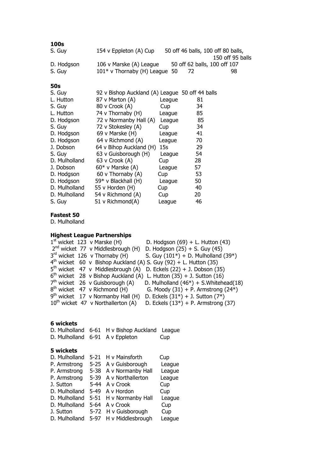| 100s          |                                                 |        |                                    |                  |
|---------------|-------------------------------------------------|--------|------------------------------------|------------------|
| S. Guy        | 154 v Eppleton (A) Cup                          |        | 50 off 46 balls, 100 off 80 balls, |                  |
| D. Hodgson    | 106 v Marske (A) League                         |        | 50 off 62 balls, 100 off 107       | 150 off 95 balls |
| S. Guy        | $101*$ v Thornaby (H) League 50                 |        | 72                                 | 98               |
| 50s           |                                                 |        |                                    |                  |
| S. Guy        | 92 v Bishop Auckland (A) League 50 off 44 balls |        |                                    |                  |
| L. Hutton     | 87 v Marton (A)                                 | League | 81                                 |                  |
| S. Guy        | 80 v Crook (A)                                  | Cup    | 34                                 |                  |
| L. Hutton     | 74 v Thornaby (H)                               | League | 85                                 |                  |
| D. Hodgson    | 72 v Normanby Hall (A)                          | League | 85                                 |                  |
| S. Guy        | 72 v Stokesley (A)                              | Cup    | 34                                 |                  |
| D. Hodgson    | 69 v Marske (H)                                 | League | 41                                 |                  |
| D. Hodgson    | 64 v Richmond (A)                               | League | 70                                 |                  |
| J. Dobson     | 64 v Bihop Auckland (H)                         | 15s    | 29                                 |                  |
| S. Guy        | 63 v Guisborough (H)                            | League | 54                                 |                  |
| D. Mulholland | 63 v Crook (A)                                  | Cup    | 28                                 |                  |
| J. Dobson     | $60*$ v Marske (A)                              | League | 57                                 |                  |
| D. Hodgson    | 60 v Thornaby (A)                               | Cup    | 53                                 |                  |
| D. Hodgson    | 59* v Blackhall (H)                             | League | 50                                 |                  |
| D. Mulholland | 55 v Horden (H)                                 | Cup    | 40                                 |                  |
| D. Mulholland | 54 v Richmond (A)                               | Cup    | 20                                 |                  |
| S. Guy        | 51 v Richmond(A)                                | League | 46                                 |                  |

#### **Fastest 50**

D. Mulholland

### **Highest League Partnerships**

 $1<sup>st</sup>$  wicket  $123$  v Marske (H) D. Hodgson  $(69) + L$ . Hutton  $(43)$ 2<sup>nd</sup> wicket 77 v Middlesbrough (H) D. Hodgson (25) + S. Guy (45) 3rd wicket 126 v Thornaby (H) S. Guy  $(101^*)$  + D. Mulholland  $(39^*)$  $4<sup>th</sup>$  wicket 60 v Bishop Auckland (A) S. Guy (92) + L. Hutton (35) 5 th wicket 47 v Middlesbrough (A) D. Eckels (22) + J. Dobson (35)  $6<sup>th</sup>$  wicket 28 v Bishop Auckland (A) L. Hutton  $(35) + J$ . Sutton  $(16)$ 7<sup>th</sup> wicket 26 v Guisborough (A) D. Mulholland  $(46*)$  + S.Whitehead(18)  $8<sup>th</sup>$  wicket 47 v Richmond (H) G. Moody  $(31) + P$ . Armstrong  $(24^*)$  $9<sup>th</sup>$  wicket 17 v Normanby Hall (H) D. Eckels (31\*) + J. Sutton (7\*) 9<sup>th</sup> wicket 17 v Normanby Hall (H) D. Eckels  $(31^*)$  + J. Sutton  $(7^*)$ <br>10<sup>th</sup> wicket 47 v Northallerton (A) D. Eckels  $(13^*)$  + P. Armstrong (37)

### **6 wickets**

D. Mulholland 6-61 H v Bishop Auckland League D. Mulholland 6-91 A v Eppleton Cup

#### **5 wickets**

| D. Mulholland |        | 5-21 H v Mainsforth    | Cup    |
|---------------|--------|------------------------|--------|
| P. Armstrong  |        | 5-25 A v Guisborough   | League |
| P. Armstrong  |        | 5-38 A v Normanby Hall | League |
| P. Armstrong  |        | 5-39 A v Northallerton | League |
| J. Sutton     | 5-44   | A v Crook              | Cup    |
| D. Mulholland | 5-49   | A v Hordon             | Cup    |
| D. Mulholland |        | 5-51 H v Normanby Hall | League |
| D. Mulholland | $5-64$ | A v Crook              | Cup    |
| J. Sutton     |        | 5-72 H v Guisborough   | Cup    |
| D. Mulholland |        | 5-97 H v Middlesbrough | League |